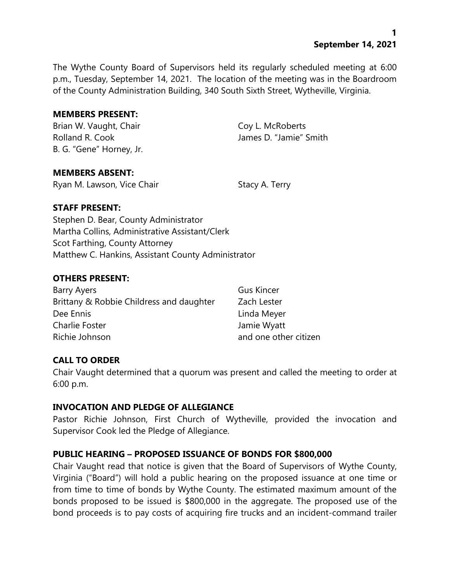The Wythe County Board of Supervisors held its regularly scheduled meeting at 6:00 p.m., Tuesday, September 14, 2021. The location of the meeting was in the Boardroom of the County Administration Building, 340 South Sixth Street, Wytheville, Virginia.

#### **MEMBERS PRESENT:**

Brian W. Vaught, Chair Coy L. McRoberts Rolland R. Cook James D. "Jamie" Smith B. G. "Gene" Horney, Jr.

### **MEMBERS ABSENT:**

Ryan M. Lawson, Vice Chair Stacy A. Terry

### **STAFF PRESENT:**

Stephen D. Bear, County Administrator Martha Collins, Administrative Assistant/Clerk Scot Farthing, County Attorney Matthew C. Hankins, Assistant County Administrator

### **OTHERS PRESENT:**

| Barry Ayers                              | <b>Gus Kincer</b>     |
|------------------------------------------|-----------------------|
| Brittany & Robbie Childress and daughter | Zach Lester           |
| Dee Ennis                                | Linda Meyer           |
| Charlie Foster                           | Jamie Wyatt           |
| Richie Johnson                           | and one other citizen |

### **CALL TO ORDER**

Chair Vaught determined that a quorum was present and called the meeting to order at 6:00 p.m.

#### **INVOCATION AND PLEDGE OF ALLEGIANCE**

Pastor Richie Johnson, First Church of Wytheville, provided the invocation and Supervisor Cook led the Pledge of Allegiance.

### **PUBLIC HEARING – PROPOSED ISSUANCE OF BONDS FOR \$800,000**

Chair Vaught read that notice is given that the Board of Supervisors of Wythe County, Virginia ("Board") will hold a public hearing on the proposed issuance at one time or from time to time of bonds by Wythe County. The estimated maximum amount of the bonds proposed to be issued is \$800,000 in the aggregate. The proposed use of the bond proceeds is to pay costs of acquiring fire trucks and an incident-command trailer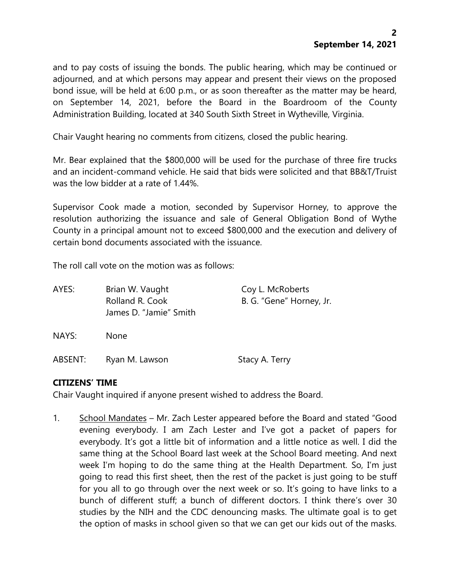and to pay costs of issuing the bonds. The public hearing, which may be continued or adjourned, and at which persons may appear and present their views on the proposed bond issue, will be held at 6:00 p.m., or as soon thereafter as the matter may be heard, on September 14, 2021, before the Board in the Boardroom of the County Administration Building, located at 340 South Sixth Street in Wytheville, Virginia.

Chair Vaught hearing no comments from citizens, closed the public hearing.

Mr. Bear explained that the \$800,000 will be used for the purchase of three fire trucks and an incident-command vehicle. He said that bids were solicited and that BB&T/Truist was the low bidder at a rate of 1.44%.

Supervisor Cook made a motion, seconded by Supervisor Horney, to approve the resolution authorizing the issuance and sale of General Obligation Bond of Wythe County in a principal amount not to exceed \$800,000 and the execution and delivery of certain bond documents associated with the issuance.

The roll call vote on the motion was as follows:

| AYES:   | Brian W. Vaught<br>Rolland R. Cook<br>James D. "Jamie" Smith | Coy L. McRoberts<br>B. G. "Gene" Horney, Jr. |
|---------|--------------------------------------------------------------|----------------------------------------------|
| NAYS:   | <b>None</b>                                                  |                                              |
| ABSENT: | Ryan M. Lawson                                               | Stacy A. Terry                               |

### **CITIZENS' TIME**

Chair Vaught inquired if anyone present wished to address the Board.

1. School Mandates – Mr. Zach Lester appeared before the Board and stated "Good evening everybody. I am Zach Lester and I've got a packet of papers for everybody. It's got a little bit of information and a little notice as well. I did the same thing at the School Board last week at the School Board meeting. And next week I'm hoping to do the same thing at the Health Department. So, I'm just going to read this first sheet, then the rest of the packet is just going to be stuff for you all to go through over the next week or so. It's going to have links to a bunch of different stuff; a bunch of different doctors. I think there's over 30 studies by the NIH and the CDC denouncing masks. The ultimate goal is to get the option of masks in school given so that we can get our kids out of the masks.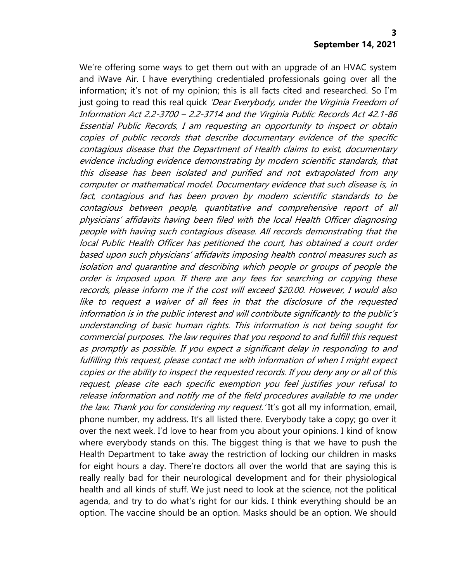We're offering some ways to get them out with an upgrade of an HVAC system and iWave Air. I have everything credentialed professionals going over all the information; it's not of my opinion; this is all facts cited and researched. So I'm just going to read this real quick 'Dear Everybody, under the Virginia Freedom of Information Act 2.2-3700 – 2.2-3714 and the Virginia Public Records Act 42.1-86 Essential Public Records, I am requesting an opportunity to inspect or obtain copies of public records that describe documentary evidence of the specific contagious disease that the Department of Health claims to exist, documentary evidence including evidence demonstrating by modern scientific standards, that this disease has been isolated and purified and not extrapolated from any computer or mathematical model. Documentary evidence that such disease is, in fact, contagious and has been proven by modern scientific standards to be contagious between people, quantitative and comprehensive report of all physicians' affidavits having been filed with the local Health Officer diagnosing people with having such contagious disease. All records demonstrating that the local Public Health Officer has petitioned the court, has obtained a court order based upon such physicians' affidavits imposing health control measures such as isolation and quarantine and describing which people or groups of people the order is imposed upon. If there are any fees for searching or copying these records, please inform me if the cost will exceed \$20.00. However, I would also like to request a waiver of all fees in that the disclosure of the requested information is in the public interest and will contribute significantly to the public'<sup>s</sup> understanding of basic human rights. This information is not being sought for commercial purposes. The law requires that you respond to and fulfill this request as promptly as possible. If you expect a significant delay in responding to and fulfilling this request, please contact me with information of when I might expect copies or the ability to inspect the requested records. If you deny any or all of this request, please cite each specific exemption you feel justifies your refusal to release information and notify me of the field procedures available to me under the law. Thank you for considering my request. It's got all my information, email, phone number, my address. It's all listed there. Everybody take a copy; go over it over the next week. I'd love to hear from you about your opinions. I kind of know where everybody stands on this. The biggest thing is that we have to push the Health Department to take away the restriction of locking our children in masks for eight hours a day. There're doctors all over the world that are saying this is really really bad for their neurological development and for their physiological health and all kinds of stuff. We just need to look at the science, not the political agenda, and try to do what's right for our kids. I think everything should be an option. The vaccine should be an option. Masks should be an option. We should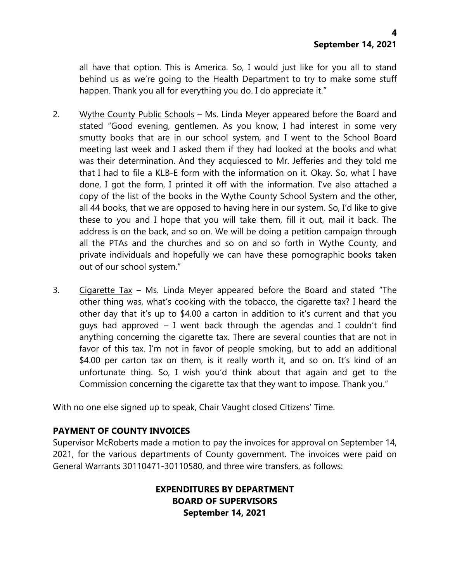all have that option. This is America. So, I would just like for you all to stand behind us as we're going to the Health Department to try to make some stuff happen. Thank you all for everything you do. I do appreciate it."

- 2. Wythe County Public Schools Ms. Linda Meyer appeared before the Board and stated "Good evening, gentlemen. As you know, I had interest in some very smutty books that are in our school system, and I went to the School Board meeting last week and I asked them if they had looked at the books and what was their determination. And they acquiesced to Mr. Jefferies and they told me that I had to file a KLB-E form with the information on it. Okay. So, what I have done, I got the form, I printed it off with the information. I've also attached a copy of the list of the books in the Wythe County School System and the other, all 44 books, that we are opposed to having here in our system. So, I'd like to give these to you and I hope that you will take them, fill it out, mail it back. The address is on the back, and so on. We will be doing a petition campaign through all the PTAs and the churches and so on and so forth in Wythe County, and private individuals and hopefully we can have these pornographic books taken out of our school system."
- 3. Cigarette Tax Ms. Linda Meyer appeared before the Board and stated "The other thing was, what's cooking with the tobacco, the cigarette tax? I heard the other day that it's up to \$4.00 a carton in addition to it's current and that you guys had approved – I went back through the agendas and I couldn't find anything concerning the cigarette tax. There are several counties that are not in favor of this tax. I'm not in favor of people smoking, but to add an additional \$4.00 per carton tax on them, is it really worth it, and so on. It's kind of an unfortunate thing. So, I wish you'd think about that again and get to the Commission concerning the cigarette tax that they want to impose. Thank you."

With no one else signed up to speak, Chair Vaught closed Citizens' Time.

### **PAYMENT OF COUNTY INVOICES**

Supervisor McRoberts made a motion to pay the invoices for approval on September 14, 2021, for the various departments of County government. The invoices were paid on General Warrants 30110471-30110580, and three wire transfers, as follows:

# **EXPENDITURES BY DEPARTMENT BOARD OF SUPERVISORS September 14, 2021**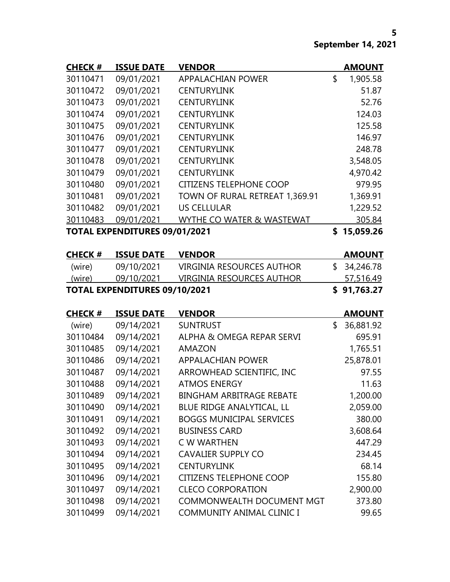| <b>CHECK#</b> | <b>ISSUE DATE</b>                    | <b>VENDOR</b>                    |               | <b>AMOUNT</b> |
|---------------|--------------------------------------|----------------------------------|---------------|---------------|
| 30110471      | 09/01/2021                           | <b>APPALACHIAN POWER</b>         | \$            | 1,905.58      |
| 30110472      | 09/01/2021                           | <b>CENTURYLINK</b>               |               | 51.87         |
| 30110473      | 09/01/2021                           | <b>CENTURYLINK</b>               |               | 52.76         |
| 30110474      | 09/01/2021                           | <b>CENTURYLINK</b>               |               | 124.03        |
| 30110475      | 09/01/2021                           | <b>CENTURYLINK</b>               |               | 125.58        |
| 30110476      | 09/01/2021                           | <b>CENTURYLINK</b>               |               | 146.97        |
| 30110477      | 09/01/2021                           | <b>CENTURYLINK</b>               |               | 248.78        |
| 30110478      | 09/01/2021                           | <b>CENTURYLINK</b>               |               | 3,548.05      |
| 30110479      | 09/01/2021                           | <b>CENTURYLINK</b>               |               | 4,970.42      |
| 30110480      | 09/01/2021                           | <b>CITIZENS TELEPHONE COOP</b>   |               | 979.95        |
| 30110481      | 09/01/2021                           | TOWN OF RURAL RETREAT 1,369.91   |               | 1,369.91      |
| 30110482      | 09/01/2021                           | <b>US CELLULAR</b>               |               | 1,229.52      |
| 30110483      | 09/01/2021                           | WYTHE CO WATER & WASTEWAT        |               | 305.84        |
|               | <b>TOTAL EXPENDITURES 09/01/2021</b> |                                  |               | \$15,059.26   |
|               |                                      |                                  |               |               |
| <b>CHECK#</b> | <b>ISSUE DATE VENDOR</b>             |                                  |               | <b>AMOUNT</b> |
| (wire)        | 09/10/2021                           | <b>VIRGINIA RESOURCES AUTHOR</b> | $\mathsf{\$}$ | 34,246.78     |
| (wire)        | 09/10/2021                           | <b>VIRGINIA RESOURCES AUTHOR</b> |               | 57,516.49     |
|               | <b>TOTAL EXPENDITURES 09/10/2021</b> |                                  |               | \$91,763.27   |
|               |                                      |                                  |               |               |
| <b>CHECK#</b> | <b>ISSUE DATE</b>                    | <b>VENDOR</b>                    |               | <b>AMOUNT</b> |
| (wire)        | 09/14/2021                           | <b>SUNTRUST</b>                  | \$            | 36,881.92     |
| 30110484      | 09/14/2021                           | ALPHA & OMEGA REPAR SERVI        |               | 695.91        |
| 30110485      | 09/14/2021                           | <b>AMAZON</b>                    |               | 1,765.51      |
| 30110486      | 09/14/2021                           | <b>APPALACHIAN POWER</b>         |               | 25,878.01     |
| 30110487      | 09/14/2021                           | ARROWHEAD SCIENTIFIC, INC        |               | 97.55         |
| 30110488      | 09/14/2021                           | <b>ATMOS ENERGY</b>              |               | 11.63         |
| 30110489      | 09/14/2021                           | <b>BINGHAM ARBITRAGE REBATE</b>  |               | 1,200.00      |
| 30110490      | 09/14/2021                           | BLUE RIDGE ANALYTICAL, LL        |               | 2,059.00      |
| 30110491      | 09/14/2021                           | <b>BOGGS MUNICIPAL SERVICES</b>  |               | 380.00        |
| 30110492      | 09/14/2021                           | <b>BUSINESS CARD</b>             |               | 3,608.64      |
| 30110493      | 09/14/2021                           | C W WARTHEN                      |               | 447.29        |
| 30110494      | 09/14/2021                           | <b>CAVALIER SUPPLY CO</b>        |               | 234.45        |
| 30110495      | 09/14/2021                           | <b>CENTURYLINK</b>               |               | 68.14         |
| 30110496      | 09/14/2021                           | <b>CITIZENS TELEPHONE COOP</b>   |               | 155.80        |
| 30110497      | 09/14/2021                           | <b>CLECO CORPORATION</b>         |               | 2,900.00      |
| 30110498      | 09/14/2021                           | <b>COMMONWEALTH DOCUMENT MGT</b> |               | 373.80        |
| 30110499      | 09/14/2021                           | COMMUNITY ANIMAL CLINIC I        |               | 99.65         |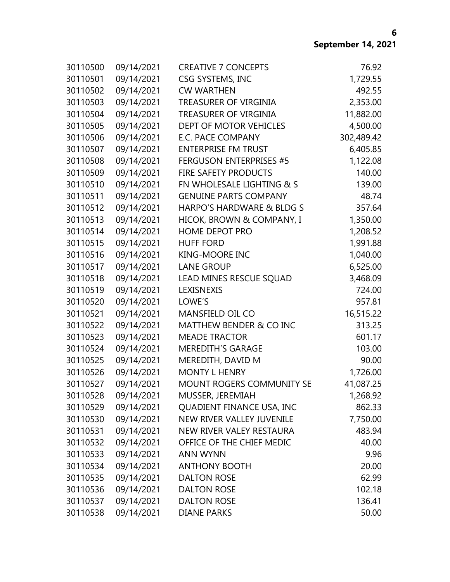| 30110500 | 09/14/2021 | <b>CREATIVE 7 CONCEPTS</b>     | 76.92      |
|----------|------------|--------------------------------|------------|
| 30110501 | 09/14/2021 | CSG SYSTEMS, INC               | 1,729.55   |
| 30110502 | 09/14/2021 | <b>CW WARTHEN</b>              | 492.55     |
| 30110503 | 09/14/2021 | TREASURER OF VIRGINIA          | 2,353.00   |
| 30110504 | 09/14/2021 | <b>TREASURER OF VIRGINIA</b>   | 11,882.00  |
| 30110505 | 09/14/2021 | DEPT OF MOTOR VEHICLES         | 4,500.00   |
| 30110506 | 09/14/2021 | <b>E.C. PACE COMPANY</b>       | 302,489.42 |
| 30110507 | 09/14/2021 | <b>ENTERPRISE FM TRUST</b>     | 6,405.85   |
| 30110508 | 09/14/2021 | <b>FERGUSON ENTERPRISES #5</b> | 1,122.08   |
| 30110509 | 09/14/2021 | FIRE SAFETY PRODUCTS           | 140.00     |
| 30110510 | 09/14/2021 | FN WHOLESALE LIGHTING & S      | 139.00     |
| 30110511 | 09/14/2021 | <b>GENUINE PARTS COMPANY</b>   | 48.74      |
| 30110512 | 09/14/2021 | HARPO'S HARDWARE & BLDG S      | 357.64     |
| 30110513 | 09/14/2021 | HICOK, BROWN & COMPANY, I      | 1,350.00   |
| 30110514 | 09/14/2021 | HOME DEPOT PRO                 | 1,208.52   |
| 30110515 | 09/14/2021 | <b>HUFF FORD</b>               | 1,991.88   |
| 30110516 | 09/14/2021 | <b>KING-MOORE INC</b>          | 1,040.00   |
| 30110517 | 09/14/2021 | <b>LANE GROUP</b>              | 6,525.00   |
| 30110518 | 09/14/2021 | LEAD MINES RESCUE SQUAD        | 3,468.09   |
| 30110519 | 09/14/2021 | LEXISNEXIS                     | 724.00     |
| 30110520 | 09/14/2021 | LOWE'S                         | 957.81     |
| 30110521 | 09/14/2021 | MANSFIELD OIL CO               | 16,515.22  |
| 30110522 | 09/14/2021 | MATTHEW BENDER & CO INC        | 313.25     |
| 30110523 | 09/14/2021 | <b>MEADE TRACTOR</b>           | 601.17     |
| 30110524 | 09/14/2021 | <b>MEREDITH'S GARAGE</b>       | 103.00     |
| 30110525 | 09/14/2021 | MEREDITH, DAVID M              | 90.00      |
| 30110526 | 09/14/2021 | <b>MONTY L HENRY</b>           | 1,726.00   |
| 30110527 | 09/14/2021 | MOUNT ROGERS COMMUNITY SE      | 41,087.25  |
| 30110528 | 09/14/2021 | MUSSER, JEREMIAH               | 1,268.92   |
| 30110529 | 09/14/2021 | QUADIENT FINANCE USA, INC      | 862.33     |
| 30110530 | 09/14/2021 | NEW RIVER VALLEY JUVENILE      | 7,750.00   |
| 30110531 | 09/14/2021 | NEW RIVER VALEY RESTAURA       | 483.94     |
| 30110532 | 09/14/2021 | OFFICE OF THE CHIEF MEDIC      | 40.00      |
| 30110533 | 09/14/2021 | <b>ANN WYNN</b>                | 9.96       |
| 30110534 | 09/14/2021 | <b>ANTHONY BOOTH</b>           | 20.00      |
| 30110535 | 09/14/2021 | <b>DALTON ROSE</b>             | 62.99      |
| 30110536 | 09/14/2021 | <b>DALTON ROSE</b>             | 102.18     |
| 30110537 | 09/14/2021 | <b>DALTON ROSE</b>             | 136.41     |
| 30110538 | 09/14/2021 | <b>DIANE PARKS</b>             | 50.00      |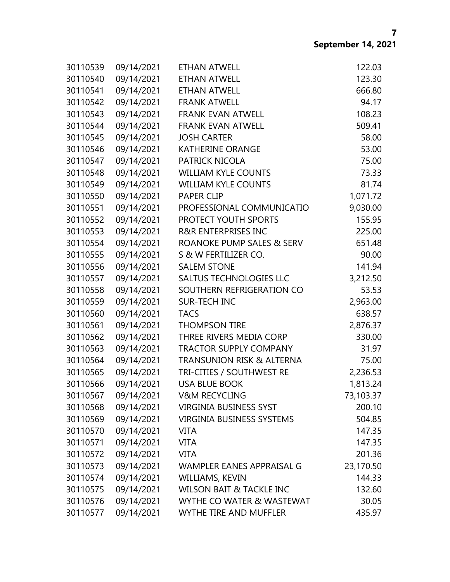| 30110539 | 09/14/2021 | <b>ETHAN ATWELL</b>                  | 122.03    |
|----------|------------|--------------------------------------|-----------|
| 30110540 | 09/14/2021 | <b>ETHAN ATWELL</b>                  | 123.30    |
| 30110541 | 09/14/2021 | <b>ETHAN ATWELL</b>                  | 666.80    |
| 30110542 | 09/14/2021 | <b>FRANK ATWELL</b>                  | 94.17     |
| 30110543 | 09/14/2021 | <b>FRANK EVAN ATWELL</b>             | 108.23    |
| 30110544 | 09/14/2021 | <b>FRANK EVAN ATWELL</b>             | 509.41    |
| 30110545 | 09/14/2021 | <b>JOSH CARTER</b>                   | 58.00     |
| 30110546 | 09/14/2021 | <b>KATHERINE ORANGE</b>              | 53.00     |
| 30110547 | 09/14/2021 | <b>PATRICK NICOLA</b>                | 75.00     |
| 30110548 | 09/14/2021 | <b>WILLIAM KYLE COUNTS</b>           | 73.33     |
| 30110549 | 09/14/2021 | <b>WILLIAM KYLE COUNTS</b>           | 81.74     |
| 30110550 | 09/14/2021 | <b>PAPER CLIP</b>                    | 1,071.72  |
| 30110551 | 09/14/2021 | PROFESSIONAL COMMUNICATIO            | 9,030.00  |
| 30110552 | 09/14/2021 | PROTECT YOUTH SPORTS                 | 155.95    |
| 30110553 | 09/14/2021 | <b>R&amp;R ENTERPRISES INC</b>       | 225.00    |
| 30110554 | 09/14/2021 | ROANOKE PUMP SALES & SERV            | 651.48    |
| 30110555 | 09/14/2021 | S & W FERTILIZER CO.                 | 90.00     |
| 30110556 | 09/14/2021 | <b>SALEM STONE</b>                   | 141.94    |
| 30110557 | 09/14/2021 | <b>SALTUS TECHNOLOGIES LLC</b>       | 3,212.50  |
| 30110558 | 09/14/2021 | SOUTHERN REFRIGERATION CO            | 53.53     |
| 30110559 | 09/14/2021 | <b>SUR-TECH INC</b>                  | 2,963.00  |
| 30110560 | 09/14/2021 | <b>TACS</b>                          | 638.57    |
| 30110561 | 09/14/2021 | <b>THOMPSON TIRE</b>                 | 2,876.37  |
| 30110562 | 09/14/2021 | THREE RIVERS MEDIA CORP              | 330.00    |
| 30110563 | 09/14/2021 | <b>TRACTOR SUPPLY COMPANY</b>        | 31.97     |
| 30110564 | 09/14/2021 | <b>TRANSUNION RISK &amp; ALTERNA</b> | 75.00     |
| 30110565 | 09/14/2021 | TRI-CITIES / SOUTHWEST RE            | 2,236.53  |
| 30110566 | 09/14/2021 | <b>USA BLUE BOOK</b>                 | 1,813.24  |
| 30110567 | 09/14/2021 | <b>V&amp;M RECYCLING</b>             | 73,103.37 |
| 30110568 | 09/14/2021 | <b>VIRGINIA BUSINESS SYST</b>        | 200.10    |
| 30110569 | 09/14/2021 | <b>VIRGINIA BUSINESS SYSTEMS</b>     | 504.85    |
| 30110570 | 09/14/2021 | <b>VITA</b>                          | 147.35    |
| 30110571 | 09/14/2021 | <b>VITA</b>                          | 147.35    |
| 30110572 | 09/14/2021 | <b>VITA</b>                          | 201.36    |
| 30110573 | 09/14/2021 | WAMPLER EANES APPRAISAL G            | 23,170.50 |
| 30110574 | 09/14/2021 | WILLIAMS, KEVIN                      | 144.33    |
| 30110575 | 09/14/2021 | <b>WILSON BAIT &amp; TACKLE INC</b>  | 132.60    |
| 30110576 | 09/14/2021 | WYTHE CO WATER & WASTEWAT            | 30.05     |
| 30110577 | 09/14/2021 | WYTHE TIRE AND MUFFLER               | 435.97    |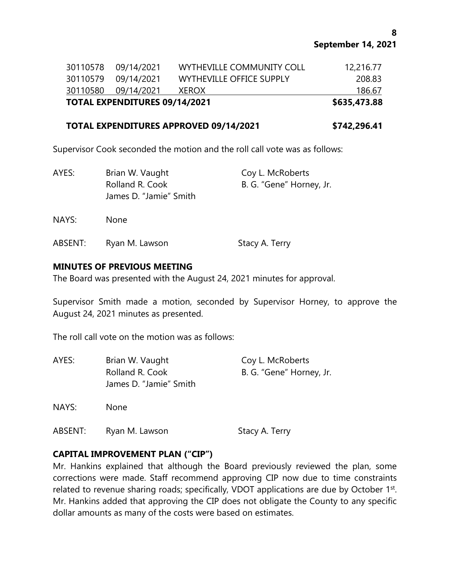| <b>TOTAL EXPENDITURES 09/14/2021</b> |                           | \$635,473.88 |
|--------------------------------------|---------------------------|--------------|
| 30110580 09/14/2021                  | <b>XEROX</b>              | 186.67       |
| 30110579 09/14/2021                  | WYTHEVILLE OFFICE SUPPLY  | 208.83       |
| 30110578 09/14/2021                  | WYTHEVILLE COMMUNITY COLL | 12,216.77    |

## **TOTAL EXPENDITURES APPROVED 09/14/2021 \$742,296.41**

Supervisor Cook seconded the motion and the roll call vote was as follows:

| AYES:   | Brian W. Vaught<br>Rolland R. Cook<br>James D. "Jamie" Smith | Coy L. McRoberts<br>B. G. "Gene" Horney, Jr. |
|---------|--------------------------------------------------------------|----------------------------------------------|
| NAYS:   | <b>None</b>                                                  |                                              |
| ABSENT: | Ryan M. Lawson                                               | Stacy A. Terry                               |

# **MINUTES OF PREVIOUS MEETING**

The Board was presented with the August 24, 2021 minutes for approval.

Supervisor Smith made a motion, seconded by Supervisor Horney, to approve the August 24, 2021 minutes as presented.

The roll call vote on the motion was as follows:

| AYES:   | Brian W. Vaught<br>Rolland R. Cook<br>James D. "Jamie" Smith | Coy L. McRoberts<br>B. G. "Gene" Horney, Jr. |
|---------|--------------------------------------------------------------|----------------------------------------------|
| NAYS:   | <b>None</b>                                                  |                                              |
| ABSENT: | Ryan M. Lawson                                               | Stacy A. Terry                               |

# **CAPITAL IMPROVEMENT PLAN ("CIP")**

Mr. Hankins explained that although the Board previously reviewed the plan, some corrections were made. Staff recommend approving CIP now due to time constraints related to revenue sharing roads; specifically, VDOT applications are due by October 1<sup>st</sup>. Mr. Hankins added that approving the CIP does not obligate the County to any specific dollar amounts as many of the costs were based on estimates.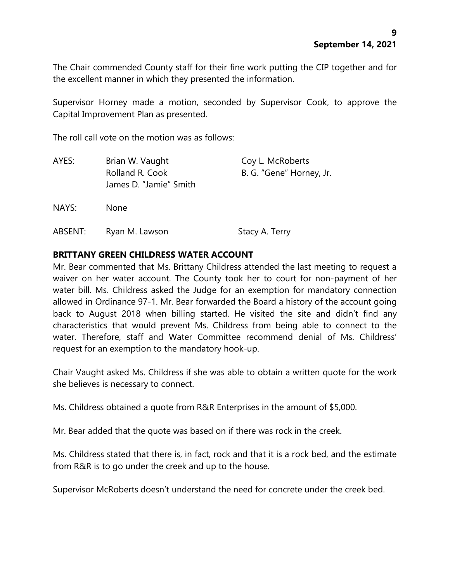The Chair commended County staff for their fine work putting the CIP together and for the excellent manner in which they presented the information.

Supervisor Horney made a motion, seconded by Supervisor Cook, to approve the Capital Improvement Plan as presented.

The roll call vote on the motion was as follows:

| AYES:   | Brian W. Vaught<br>Rolland R. Cook<br>James D. "Jamie" Smith | Coy L. McRoberts<br>B. G. "Gene" Horney, Jr. |
|---------|--------------------------------------------------------------|----------------------------------------------|
| NAYS:   | <b>None</b>                                                  |                                              |
| ABSENT: | Ryan M. Lawson                                               | Stacy A. Terry                               |

### **BRITTANY GREEN CHILDRESS WATER ACCOUNT**

Mr. Bear commented that Ms. Brittany Childress attended the last meeting to request a waiver on her water account. The County took her to court for non-payment of her water bill. Ms. Childress asked the Judge for an exemption for mandatory connection allowed in Ordinance 97-1. Mr. Bear forwarded the Board a history of the account going back to August 2018 when billing started. He visited the site and didn't find any characteristics that would prevent Ms. Childress from being able to connect to the water. Therefore, staff and Water Committee recommend denial of Ms. Childress' request for an exemption to the mandatory hook-up.

Chair Vaught asked Ms. Childress if she was able to obtain a written quote for the work she believes is necessary to connect.

Ms. Childress obtained a quote from R&R Enterprises in the amount of \$5,000.

Mr. Bear added that the quote was based on if there was rock in the creek.

Ms. Childress stated that there is, in fact, rock and that it is a rock bed, and the estimate from R&R is to go under the creek and up to the house.

Supervisor McRoberts doesn't understand the need for concrete under the creek bed.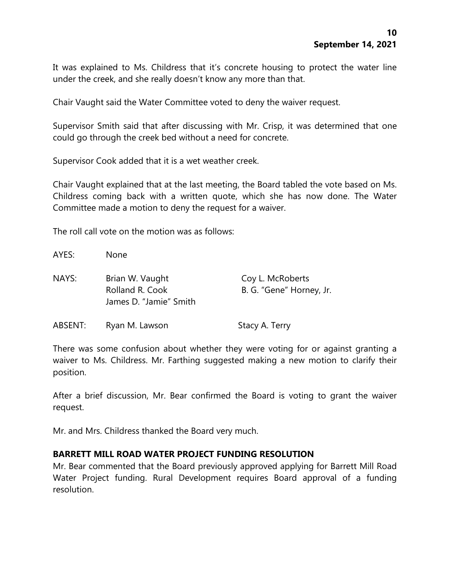It was explained to Ms. Childress that it's concrete housing to protect the water line under the creek, and she really doesn't know any more than that.

Chair Vaught said the Water Committee voted to deny the waiver request.

Supervisor Smith said that after discussing with Mr. Crisp, it was determined that one could go through the creek bed without a need for concrete.

Supervisor Cook added that it is a wet weather creek.

Chair Vaught explained that at the last meeting, the Board tabled the vote based on Ms. Childress coming back with a written quote, which she has now done. The Water Committee made a motion to deny the request for a waiver.

The roll call vote on the motion was as follows:

| AYES:   | None                                                         |                                              |
|---------|--------------------------------------------------------------|----------------------------------------------|
| NAYS:   | Brian W. Vaught<br>Rolland R. Cook<br>James D. "Jamie" Smith | Coy L. McRoberts<br>B. G. "Gene" Horney, Jr. |
| ABSENT: | Ryan M. Lawson                                               | Stacy A. Terry                               |

There was some confusion about whether they were voting for or against granting a waiver to Ms. Childress. Mr. Farthing suggested making a new motion to clarify their position.

After a brief discussion, Mr. Bear confirmed the Board is voting to grant the waiver request.

Mr. and Mrs. Childress thanked the Board very much.

### **BARRETT MILL ROAD WATER PROJECT FUNDING RESOLUTION**

Mr. Bear commented that the Board previously approved applying for Barrett Mill Road Water Project funding. Rural Development requires Board approval of a funding resolution.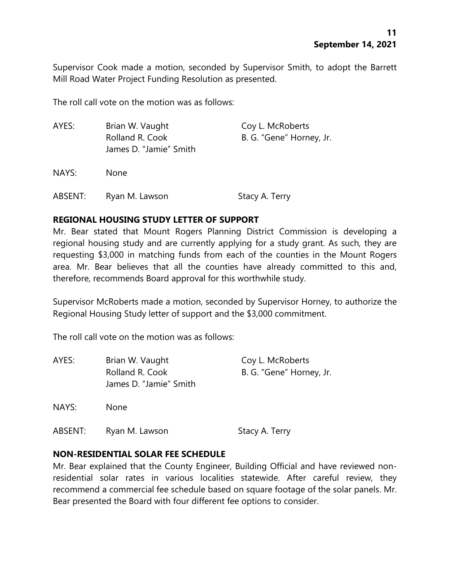Supervisor Cook made a motion, seconded by Supervisor Smith, to adopt the Barrett Mill Road Water Project Funding Resolution as presented.

The roll call vote on the motion was as follows:

| AYES:   | Brian W. Vaught<br>Rolland R. Cook<br>James D. "Jamie" Smith | Coy L. McRoberts<br>B. G. "Gene" Horney, Jr. |
|---------|--------------------------------------------------------------|----------------------------------------------|
| NAYS:   | <b>None</b>                                                  |                                              |
| ABSENT: | Ryan M. Lawson                                               | Stacy A. Terry                               |

### **REGIONAL HOUSING STUDY LETTER OF SUPPORT**

Mr. Bear stated that Mount Rogers Planning District Commission is developing a regional housing study and are currently applying for a study grant. As such, they are requesting \$3,000 in matching funds from each of the counties in the Mount Rogers area. Mr. Bear believes that all the counties have already committed to this and, therefore, recommends Board approval for this worthwhile study.

Supervisor McRoberts made a motion, seconded by Supervisor Horney, to authorize the Regional Housing Study letter of support and the \$3,000 commitment.

The roll call vote on the motion was as follows:

| AYES:   | Brian W. Vaught<br>Rolland R. Cook<br>James D. "Jamie" Smith | Coy L. McRoberts<br>B. G. "Gene" Horney, Jr. |
|---------|--------------------------------------------------------------|----------------------------------------------|
| NAYS:   | <b>None</b>                                                  |                                              |
| ABSENT: | Ryan M. Lawson                                               | Stacy A. Terry                               |

### **NON-RESIDENTIAL SOLAR FEE SCHEDULE**

Mr. Bear explained that the County Engineer, Building Official and have reviewed nonresidential solar rates in various localities statewide. After careful review, they recommend a commercial fee schedule based on square footage of the solar panels. Mr. Bear presented the Board with four different fee options to consider.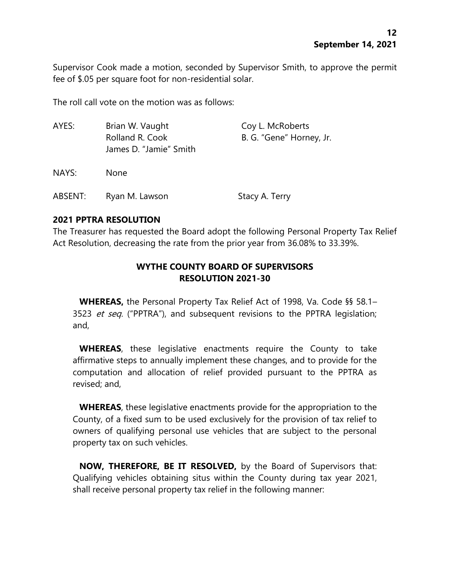Supervisor Cook made a motion, seconded by Supervisor Smith, to approve the permit fee of \$.05 per square foot for non-residential solar.

The roll call vote on the motion was as follows:

| AYES:   | Brian W. Vaught<br>Rolland R. Cook<br>James D. "Jamie" Smith | Coy L. McRoberts<br>B. G. "Gene" Horney, Jr. |
|---------|--------------------------------------------------------------|----------------------------------------------|
| NAYS:   | None.                                                        |                                              |
| ABSENT: | Ryan M. Lawson                                               | Stacy A. Terry                               |

# **2021 PPTRA RESOLUTION**

The Treasurer has requested the Board adopt the following Personal Property Tax Relief Act Resolution, decreasing the rate from the prior year from 36.08% to 33.39%.

# **WYTHE COUNTY BOARD OF SUPERVISORS RESOLUTION 2021-30**

**WHEREAS,** the Personal Property Tax Relief Act of 1998, Va. Code §§ 58.1– 3523 et seq. ("PPTRA"), and subsequent revisions to the PPTRA legislation; and,

**WHEREAS**, these legislative enactments require the County to take affirmative steps to annually implement these changes, and to provide for the computation and allocation of relief provided pursuant to the PPTRA as revised; and,

**WHEREAS**, these legislative enactments provide for the appropriation to the County, of a fixed sum to be used exclusively for the provision of tax relief to owners of qualifying personal use vehicles that are subject to the personal property tax on such vehicles.

**NOW, THEREFORE, BE IT RESOLVED,** by the Board of Supervisors that: Qualifying vehicles obtaining situs within the County during tax year 2021, shall receive personal property tax relief in the following manner: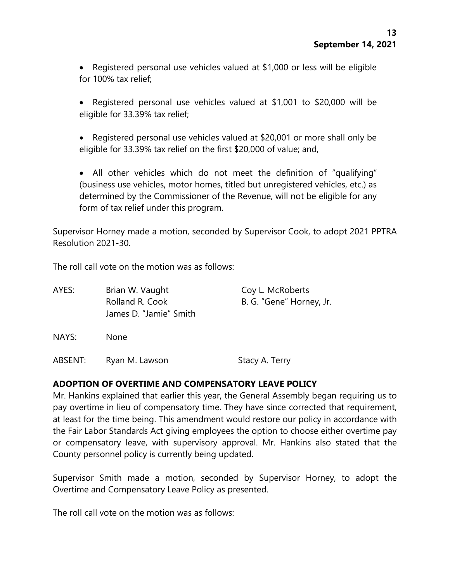• Registered personal use vehicles valued at \$1,000 or less will be eligible for 100% tax relief;

• Registered personal use vehicles valued at \$1,001 to \$20,000 will be eligible for 33.39% tax relief;

• Registered personal use vehicles valued at \$20,001 or more shall only be eligible for 33.39% tax relief on the first \$20,000 of value; and,

• All other vehicles which do not meet the definition of "qualifying" (business use vehicles, motor homes, titled but unregistered vehicles, etc.) as determined by the Commissioner of the Revenue, will not be eligible for any form of tax relief under this program.

Supervisor Horney made a motion, seconded by Supervisor Cook, to adopt 2021 PPTRA Resolution 2021-30.

The roll call vote on the motion was as follows:

| AYES: | Brian W. Vaught<br>Rolland R. Cook<br>James D. "Jamie" Smith | Coy L. McRoberts<br>B. G. "Gene" Horney, Jr. |
|-------|--------------------------------------------------------------|----------------------------------------------|
| NAYS: | <b>None</b>                                                  |                                              |

# **ADOPTION OF OVERTIME AND COMPENSATORY LEAVE POLICY**

ABSENT: Ryan M. Lawson Stacy A. Terry

Mr. Hankins explained that earlier this year, the General Assembly began requiring us to pay overtime in lieu of compensatory time. They have since corrected that requirement, at least for the time being. This amendment would restore our policy in accordance with the Fair Labor Standards Act giving employees the option to choose either overtime pay or compensatory leave, with supervisory approval. Mr. Hankins also stated that the County personnel policy is currently being updated.

Supervisor Smith made a motion, seconded by Supervisor Horney, to adopt the Overtime and Compensatory Leave Policy as presented.

The roll call vote on the motion was as follows: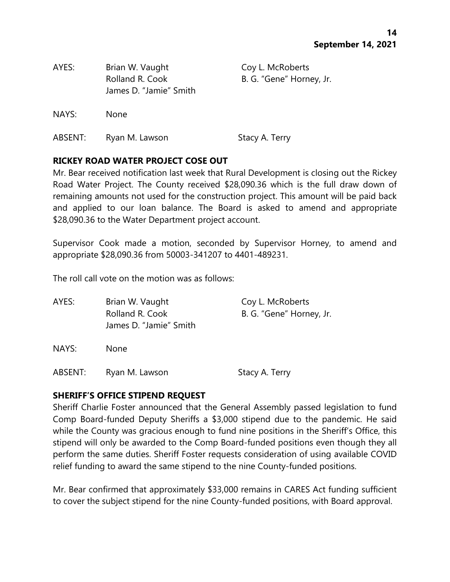| AYES:   | Brian W. Vaught<br>Rolland R. Cook<br>James D. "Jamie" Smith | Coy L. McRoberts<br>B. G. "Gene" Horney, Jr. |
|---------|--------------------------------------------------------------|----------------------------------------------|
| NAYS:   | <b>None</b>                                                  |                                              |
| ABSENT: | Ryan M. Lawson                                               | Stacy A. Terry                               |

### **RICKEY ROAD WATER PROJECT COSE OUT**

Mr. Bear received notification last week that Rural Development is closing out the Rickey Road Water Project. The County received \$28,090.36 which is the full draw down of remaining amounts not used for the construction project. This amount will be paid back and applied to our loan balance. The Board is asked to amend and appropriate \$28,090.36 to the Water Department project account.

Supervisor Cook made a motion, seconded by Supervisor Horney, to amend and appropriate \$28,090.36 from 50003-341207 to 4401-489231.

The roll call vote on the motion was as follows:

| AYES: | Brian W. Vaught                           | Coy L. McRoberts         |
|-------|-------------------------------------------|--------------------------|
|       | Rolland R. Cook<br>James D. "Jamie" Smith | B. G. "Gene" Horney, Jr. |
|       |                                           |                          |

NAYS: None

ABSENT: Ryan M. Lawson Stacy A. Terry

#### **SHERIFF'S OFFICE STIPEND REQUEST**

Sheriff Charlie Foster announced that the General Assembly passed legislation to fund Comp Board-funded Deputy Sheriffs a \$3,000 stipend due to the pandemic. He said while the County was gracious enough to fund nine positions in the Sheriff's Office, this stipend will only be awarded to the Comp Board-funded positions even though they all perform the same duties. Sheriff Foster requests consideration of using available COVID relief funding to award the same stipend to the nine County-funded positions.

Mr. Bear confirmed that approximately \$33,000 remains in CARES Act funding sufficient to cover the subject stipend for the nine County-funded positions, with Board approval.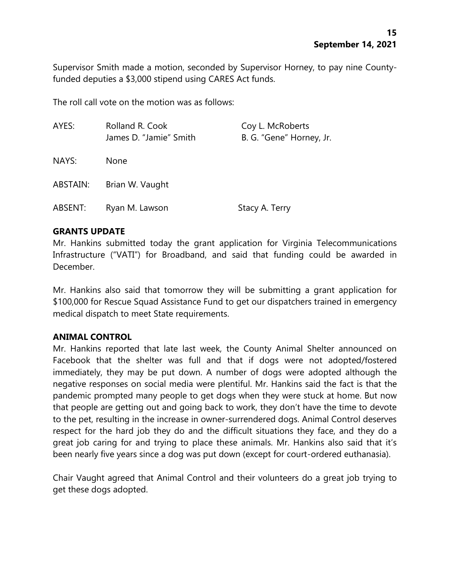Supervisor Smith made a motion, seconded by Supervisor Horney, to pay nine Countyfunded deputies a \$3,000 stipend using CARES Act funds.

The roll call vote on the motion was as follows:

| AYES:    | Rolland R. Cook<br>James D. "Jamie" Smith | Coy L. McRoberts<br>B. G. "Gene" Horney, Jr. |
|----------|-------------------------------------------|----------------------------------------------|
| NAYS:    | None                                      |                                              |
| ABSTAIN: | Brian W. Vaught                           |                                              |
| ABSENT:  | Ryan M. Lawson                            | Stacy A. Terry                               |

#### **GRANTS UPDATE**

Mr. Hankins submitted today the grant application for Virginia Telecommunications Infrastructure ("VATI") for Broadband, and said that funding could be awarded in December.

Mr. Hankins also said that tomorrow they will be submitting a grant application for \$100,000 for Rescue Squad Assistance Fund to get our dispatchers trained in emergency medical dispatch to meet State requirements.

### **ANIMAL CONTROL**

Mr. Hankins reported that late last week, the County Animal Shelter announced on Facebook that the shelter was full and that if dogs were not adopted/fostered immediately, they may be put down. A number of dogs were adopted although the negative responses on social media were plentiful. Mr. Hankins said the fact is that the pandemic prompted many people to get dogs when they were stuck at home. But now that people are getting out and going back to work, they don't have the time to devote to the pet, resulting in the increase in owner-surrendered dogs. Animal Control deserves respect for the hard job they do and the difficult situations they face, and they do a great job caring for and trying to place these animals. Mr. Hankins also said that it's been nearly five years since a dog was put down (except for court-ordered euthanasia).

Chair Vaught agreed that Animal Control and their volunteers do a great job trying to get these dogs adopted.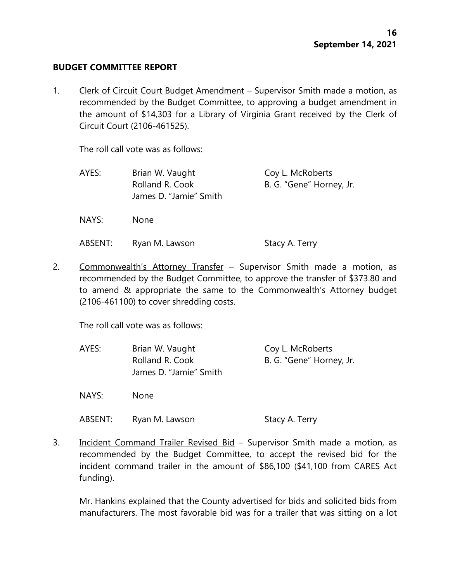#### **BUDGET COMMITTEE REPORT**

1. Clerk of Circuit Court Budget Amendment – Supervisor Smith made a motion, as recommended by the Budget Committee, to approving a budget amendment in the amount of \$14,303 for a Library of Virginia Grant received by the Clerk of Circuit Court (2106-461525).

The roll call vote was as follows:

| AYES:             | Brian W. Vaught                           | Coy L. McRoberts         |
|-------------------|-------------------------------------------|--------------------------|
|                   | Rolland R. Cook<br>James D. "Jamie" Smith | B. G. "Gene" Horney, Jr. |
| NAYS <sup>.</sup> | None.                                     |                          |

ABSENT: Ryan M. Lawson Stacy A. Terry

2. Commonwealth's Attorney Transfer – Supervisor Smith made a motion, as recommended by the Budget Committee, to approve the transfer of \$373.80 and to amend & appropriate the same to the Commonwealth's Attorney budget (2106-461100) to cover shredding costs.

The roll call vote was as follows:

| AYES:   | Brian W. Vaught<br>Rolland R. Cook<br>James D. "Jamie" Smith | Coy L. McRoberts<br>B. G. "Gene" Horney, Jr. |
|---------|--------------------------------------------------------------|----------------------------------------------|
| NAYS:   | <b>None</b>                                                  |                                              |
| ABSENT: | Ryan M. Lawson                                               | Stacy A. Terry                               |

3. Incident Command Trailer Revised Bid – Supervisor Smith made a motion, as recommended by the Budget Committee, to accept the revised bid for the incident command trailer in the amount of \$86,100 (\$41,100 from CARES Act funding).

Mr. Hankins explained that the County advertised for bids and solicited bids from manufacturers. The most favorable bid was for a trailer that was sitting on a lot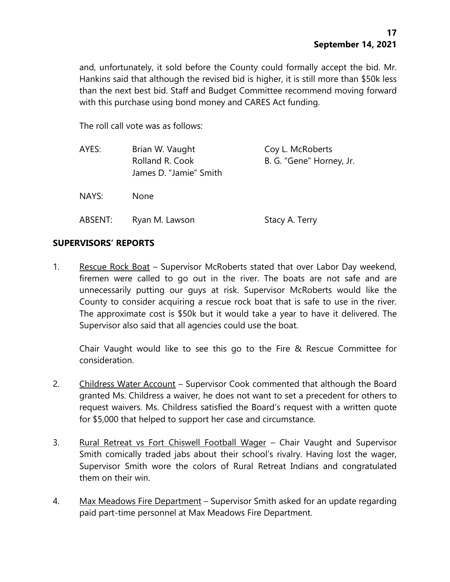and, unfortunately, it sold before the County could formally accept the bid. Mr. Hankins said that although the revised bid is higher, it is still more than \$50k less than the next best bid. Staff and Budget Committee recommend moving forward with this purchase using bond money and CARES Act funding.

The roll call vote was as follows:

| AYES:   | Brian W. Vaught<br>Rolland R. Cook<br>James D. "Jamie" Smith | Coy L. McRoberts<br>B. G. "Gene" Horney, Jr. |
|---------|--------------------------------------------------------------|----------------------------------------------|
| NAYS:   | <b>None</b>                                                  |                                              |
| ABSENT: | Ryan M. Lawson                                               | Stacy A. Terry                               |

#### **SUPERVISORS' REPORTS**

1. Rescue Rock Boat – Supervisor McRoberts stated that over Labor Day weekend, firemen were called to go out in the river. The boats are not safe and are unnecessarily putting our guys at risk. Supervisor McRoberts would like the County to consider acquiring a rescue rock boat that is safe to use in the river. The approximate cost is \$50k but it would take a year to have it delivered. The Supervisor also said that all agencies could use the boat.

Chair Vaught would like to see this go to the Fire & Rescue Committee for consideration.

- 2. Childress Water Account Supervisor Cook commented that although the Board granted Ms. Childress a waiver, he does not want to set a precedent for others to request waivers. Ms. Childress satisfied the Board's request with a written quote for \$5,000 that helped to support her case and circumstance.
- 3. Rural Retreat vs Fort Chiswell Football Wager Chair Vaught and Supervisor Smith comically traded jabs about their school's rivalry. Having lost the wager, Supervisor Smith wore the colors of Rural Retreat Indians and congratulated them on their win.
- 4. Max Meadows Fire Department Supervisor Smith asked for an update regarding paid part-time personnel at Max Meadows Fire Department.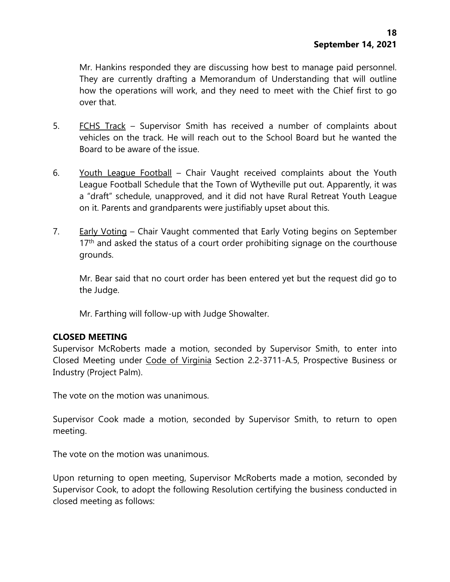Mr. Hankins responded they are discussing how best to manage paid personnel. They are currently drafting a Memorandum of Understanding that will outline how the operations will work, and they need to meet with the Chief first to go over that.

- 5. FCHS Track Supervisor Smith has received a number of complaints about vehicles on the track. He will reach out to the School Board but he wanted the Board to be aware of the issue.
- 6. Youth League Football Chair Vaught received complaints about the Youth League Football Schedule that the Town of Wytheville put out. Apparently, it was a "draft" schedule, unapproved, and it did not have Rural Retreat Youth League on it. Parents and grandparents were justifiably upset about this.
- 7. Early Voting Chair Vaught commented that Early Voting begins on September  $17<sup>th</sup>$  and asked the status of a court order prohibiting signage on the courthouse grounds.

Mr. Bear said that no court order has been entered yet but the request did go to the Judge.

Mr. Farthing will follow-up with Judge Showalter.

### **CLOSED MEETING**

Supervisor McRoberts made a motion, seconded by Supervisor Smith, to enter into Closed Meeting under Code of Virginia Section 2.2-3711-A.5, Prospective Business or Industry (Project Palm).

The vote on the motion was unanimous.

Supervisor Cook made a motion, seconded by Supervisor Smith, to return to open meeting.

The vote on the motion was unanimous.

Upon returning to open meeting, Supervisor McRoberts made a motion, seconded by Supervisor Cook, to adopt the following Resolution certifying the business conducted in closed meeting as follows: